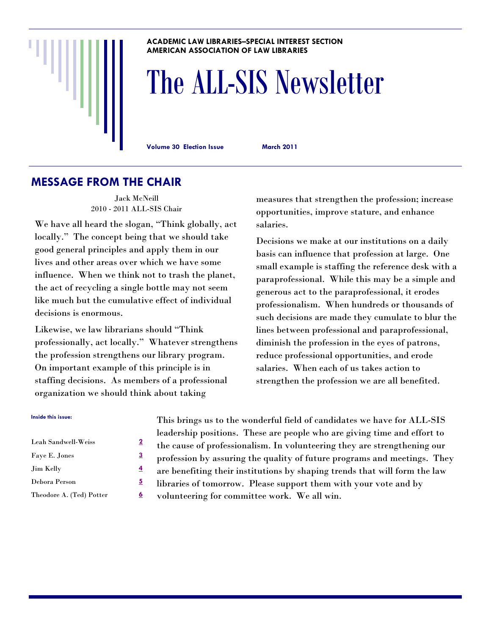#### **ACADEMIC LAW LIBRARIES–SPECIAL INTEREST SECTION AMERICAN ASSOCIATION OF LAW LIBRARIES**

# The ALL-SIS Newsletter

**Volume 30 Election Issue March 2011** 

#### **MESSAGE FROM THE CHAIR**

Jack McNeill 2010 - 2011 ALL-SIS Chair

We have all heard the slogan, "Think globally, act locally." The concept being that we should take good general principles and apply them in our lives and other areas over which we have some influence. When we think not to trash the planet, the act of recycling a single bottle may not seem like much but the cumulative effect of individual decisions is enormous.

Likewise, we law librarians should "Think professionally, act locally." Whatever strengthens the profession strengthens our library program. On important example of this principle is in staffing decisions. As members of a professional organization we should think about taking

measures that strengthen the profession; increase opportunities, improve stature, and enhance salaries.

Decisions we make at our institutions on a daily basis can influence that profession at large. One small example is staffing the reference desk with a paraprofessional. While this may be a simple and generous act to the paraprofessional, it erodes professionalism. When hundreds or thousands of such decisions are made they cumulate to blur the lines between professional and paraprofessional, diminish the profession in the eyes of patrons, reduce professional opportunities, and erode salaries. When each of us takes action to strengthen the profession we are all benefited.

#### **Inside this issue:**

| Leah Sandwell-Weiss      | 2 |
|--------------------------|---|
| Faye E. Jones            | З |
| <b>Jim Kelly</b>         | 4 |
| Debora Person            | 5 |
| Theodore A. (Ted) Potter | 6 |

This brings us to the wonderful field of candidates we have for ALL-SIS leadership positions. These are people who are giving time and effort to the cause of professionalism. In volunteering they are strengthening our profession by assuring the quality of future programs and meetings. They are benefiting their institutions by shaping trends that will form the law libraries of tomorrow. Please support them with your vote and by volunteering for committee work. We all win.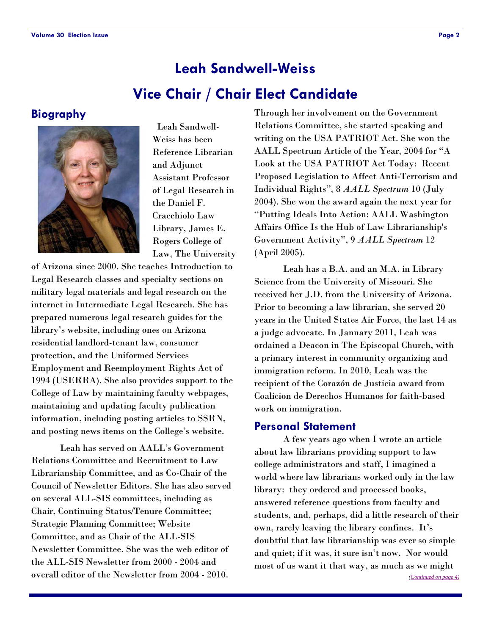# **Vice Chair / Chair Elect Candidate Leah Sandwell-Weiss**

#### **Biography**



 Leah Sandwell-Weiss has been Reference Librarian and Adjunct Assistant Professor of Legal Research in the Daniel F. Cracchiolo Law Library, James E. Rogers College of Law, The University

of Arizona since 2000. She teaches Introduction to Legal Research classes and specialty sections on military legal materials and legal research on the internet in Intermediate Legal Research. She has prepared numerous legal research guides for the library's website, including ones on Arizona residential landlord-tenant law, consumer protection, and the Uniformed Services Employment and Reemployment Rights Act of 1994 (USERRA). She also provides support to the College of Law by maintaining faculty webpages, maintaining and updating faculty publication information, including posting articles to SSRN, and posting news items on the College's website.

 Leah has served on AALL's Government Relations Committee and Recruitment to Law Librarianship Committee, and as Co-Chair of the Council of Newsletter Editors. She has also served on several ALL-SIS committees, including as Chair, Continuing Status/Tenure Committee; Strategic Planning Committee; Website Committee, and as Chair of the ALL-SIS Newsletter Committee. She was the web editor of the ALL-SIS Newsletter from 2000 - 2004 and overall editor of the Newsletter from 2004 - 2010.

Through her involvement on the Government Relations Committee, she started speaking and writing on the USA PATRIOT Act. She won the AALL Spectrum Article of the Year, 2004 for "A Look at the USA PATRIOT Act Today: Recent Proposed Legislation to Affect Anti-Terrorism and Individual Rights", 8 *AALL Spectrum* 10 (July 2004). She won the award again the next year for "Putting Ideals Into Action: AALL Washington Affairs Office Is the Hub of Law Librarianship's Government Activity", 9 *AALL Spectrum* 12 (April 2005).

 Leah has a B.A. and an M.A. in Library Science from the University of Missouri. She received her J.D. from the University of Arizona. Prior to becoming a law librarian, she served 20 years in the United States Air Force, the last 14 as a judge advocate. In January 2011, Leah was ordained a Deacon in The Episcopal Church, with a primary interest in community organizing and immigration reform. In 2010, Leah was the recipient of the Corazón de Justicia award from Coalicion de Derechos Humanos for faith-based work on immigration.

#### **Personal Statement**

 A few years ago when I wrote an article about law librarians providing support to law college administrators and staff, I imagined a world where law librarians worked only in the law library: they ordered and processed books, answered reference questions from faculty and students, and, perhaps, did a little research of their own, rarely leaving the library confines. It's doubtful that law librarianship was ever so simple and quiet; if it was, it sure isn't now. Nor would most of us want it that way, as much as we might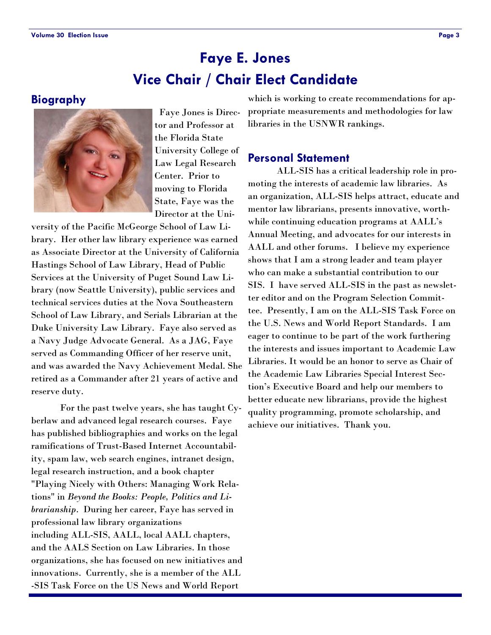# **Vice Chair / Chair Elect Candidate Faye E. Jones**

#### **Biography**



 Faye Jones is Director and Professor at the Florida State University College of Law Legal Research Center. Prior to moving to Florida State, Faye was the Director at the Uni-

versity of the Pacific McGeorge School of Law Library. Her other law library experience was earned as Associate Director at the University of California Hastings School of Law Library, Head of Public Services at the University of Puget Sound Law Library (now Seattle University), public services and technical services duties at the Nova Southeastern School of Law Library, and Serials Librarian at the Duke University Law Library. Faye also served as a Navy Judge Advocate General. As a JAG, Faye served as Commanding Officer of her reserve unit, and was awarded the Navy Achievement Medal. She retired as a Commander after 21 years of active and reserve duty.

 For the past twelve years, she has taught Cyberlaw and advanced legal research courses. Faye has published bibliographies and works on the legal ramifications of Trust-Based Internet Accountability, spam law, web search engines, intranet design, legal research instruction, and a book chapter "Playing Nicely with Others: Managing Work Relations" in *Beyond the Books: People, Politics and Librarianship*. During her career, Faye has served in professional law library organizations including ALL-SIS, AALL, local AALL chapters, and the AALS Section on Law Libraries. In those organizations, she has focused on new initiatives and innovations. Currently, she is a member of the ALL -SIS Task Force on the US News and World Report

which is working to create recommendations for appropriate measurements and methodologies for law libraries in the USNWR rankings.

#### **Personal Statement**

 ALL-SIS has a critical leadership role in promoting the interests of academic law libraries. As an organization, ALL-SIS helps attract, educate and mentor law librarians, presents innovative, worthwhile continuing education programs at AALL's Annual Meeting, and advocates for our interests in AALL and other forums. I believe my experience shows that I am a strong leader and team player who can make a substantial contribution to our SIS. I have served ALL-SIS in the past as newsletter editor and on the Program Selection Committee. Presently, I am on the ALL-SIS Task Force on the U.S. News and World Report Standards. I am eager to continue to be part of the work furthering the interests and issues important to Academic Law Libraries. It would be an honor to serve as Chair of the Academic Law Libraries Special Interest Section's Executive Board and help our members to better educate new librarians, provide the highest quality programming, promote scholarship, and achieve our initiatives. Thank you.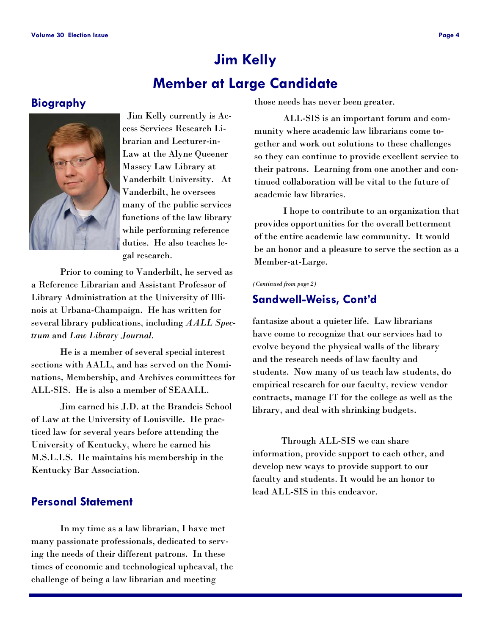# **Member at Large Candidate Jim Kelly**

#### **Biography**



 Jim Kelly currently is Access Services Research Librarian and Lecturer-in-Law at the Alyne Queener Massey Law Library at Vanderbilt University. At Vanderbilt, he oversees many of the public services functions of the law library while performing reference duties. He also teaches legal research.

 Prior to coming to Vanderbilt, he served as a Reference Librarian and Assistant Professor of Library Administration at the University of Illinois at Urbana-Champaign. He has written for several library publications, including *AALL Spectrum* and *Law Library Journal*.

 He is a member of several special interest sections with AALL, and has served on the Nominations, Membership, and Archives committees for ALL-SIS. He is also a member of SEAALL.

 Jim earned his J.D. at the Brandeis School of Law at the University of Louisville. He practiced law for several years before attending the University of Kentucky, where he earned his M.S.L.I.S. He maintains his membership in the Kentucky Bar Association.

### **Personal Statement**

 In my time as a law librarian, I have met many passionate professionals, dedicated to serving the needs of their different patrons. In these times of economic and technological upheaval, the challenge of being a law librarian and meeting

those needs has never been greater.

 ALL-SIS is an important forum and community where academic law librarians come together and work out solutions to these challenges so they can continue to provide excellent service to their patrons. Learning from one another and continued collaboration will be vital to the future of academic law libraries.

 I hope to contribute to an organization that provides opportunities for the overall betterment of the entire academic law community. It would be an honor and a pleasure to serve the section as a Member-at-Large.

*(Continued from page 2)* 

#### **Sandwell-Weiss, Cont'd**

fantasize about a quieter life. Law librarians have come to recognize that our services had to evolve beyond the physical walls of the library and the research needs of law faculty and students. Now many of us teach law students, do empirical research for our faculty, review vendor contracts, manage IT for the college as well as the library, and deal with shrinking budgets.

 Through ALL-SIS we can share information, provide support to each other, and develop new ways to provide support to our faculty and students. It would be an honor to lead ALL-SIS in this endeavor.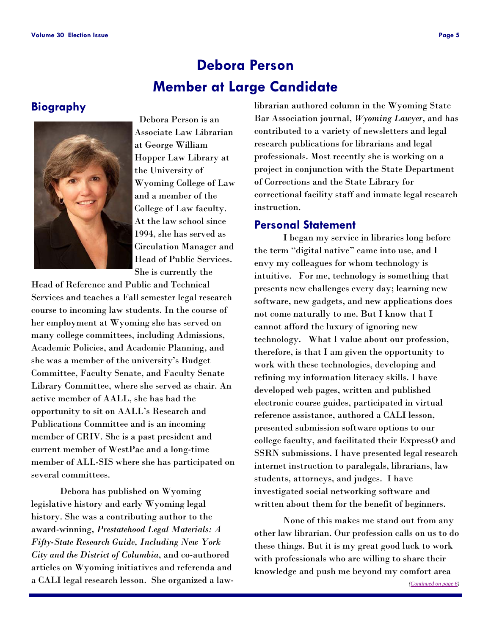# **Member at Large Candidate Debora Person**

#### **Biography**



 Debora Person is an Associate Law Librarian at George William Hopper Law Library at the University of Wyoming College of Law and a member of the College of Law faculty. At the law school since 1994, she has served as Circulation Manager and Head of Public Services. She is currently the

Head of Reference and Public and Technical Services and teaches a Fall semester legal research course to incoming law students. In the course of her employment at Wyoming she has served on many college committees, including Admissions, Academic Policies, and Academic Planning, and she was a member of the university's Budget Committee, Faculty Senate, and Faculty Senate Library Committee, where she served as chair. An active member of AALL, she has had the opportunity to sit on AALL's Research and Publications Committee and is an incoming member of CRIV. She is a past president and current member of WestPac and a long-time member of ALL-SIS where she has participated on several committees.

 Debora has published on Wyoming legislative history and early Wyoming legal history. She was a contributing author to the award-winning, *Prestatehood Legal Materials: A Fifty-State Research Guide, Including New York City and the District of Columbia*, and co-authored articles on Wyoming initiatives and referenda and a CALI legal research lesson. She organized a law-

librarian authored column in the Wyoming State Bar Association journal, *Wyoming Lawyer*, and has contributed to a variety of newsletters and legal research publications for librarians and legal professionals. Most recently she is working on a project in conjunction with the State Department of Corrections and the State Library for correctional facility staff and inmate legal research instruction.

#### **Personal Statement**

 I began my service in libraries long before the term "digital native" came into use, and I envy my colleagues for whom technology is intuitive. For me, technology is something that presents new challenges every day; learning new software, new gadgets, and new applications does not come naturally to me. But I know that I cannot afford the luxury of ignoring new technology. What I value about our profession, therefore, is that I am given the opportunity to work with these technologies, developing and refining my information literacy skills. I have developed web pages, written and published electronic course guides, participated in virtual reference assistance, authored a CALI lesson, presented submission software options to our college faculty, and facilitated their ExpressO and SSRN submissions. I have presented legal research internet instruction to paralegals, librarians, law students, attorneys, and judges. I have investigated social networking software and written about them for the benefit of beginners.

 None of this makes me stand out from any other law librarian. Our profession calls on us to do these things. But it is my great good luck to work with professionals who are willing to share their knowledge and push me beyond my comfort area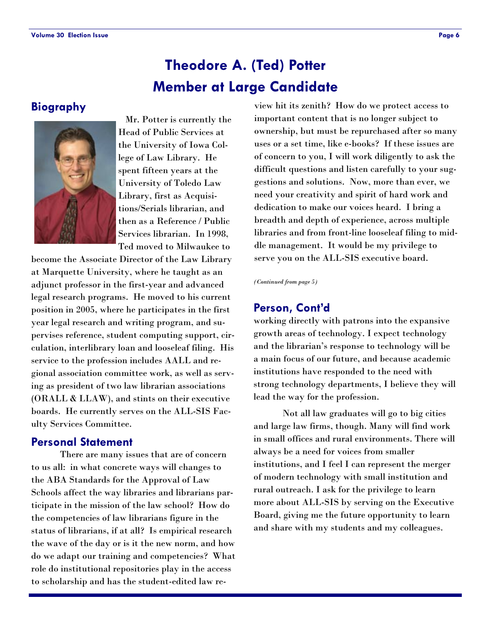## **Member at Large Candidate Theodore A. (Ted) Potter**

#### **Biography**



 Mr. Potter is currently the Head of Public Services at the University of Iowa College of Law Library. He spent fifteen years at the University of Toledo Law Library, first as Acquisitions/Serials librarian, and then as a Reference / Public Services librarian. In 1998, Ted moved to Milwaukee to

become the Associate Director of the Law Library at Marquette University, where he taught as an adjunct professor in the first-year and advanced legal research programs. He moved to his current position in 2005, where he participates in the first year legal research and writing program, and supervises reference, student computing support, circulation, interlibrary loan and looseleaf filing. His service to the profession includes AALL and regional association committee work, as well as serving as president of two law librarian associations (ORALL & LLAW), and stints on their executive boards. He currently serves on the ALL-SIS Faculty Services Committee.

#### **Personal Statement**

 There are many issues that are of concern to us all: in what concrete ways will changes to the ABA Standards for the Approval of Law Schools affect the way libraries and librarians participate in the mission of the law school? How do the competencies of law librarians figure in the status of librarians, if at all? Is empirical research the wave of the day or is it the new norm, and how do we adapt our training and competencies? What role do institutional repositories play in the access to scholarship and has the student-edited law re-

view hit its zenith? How do we protect access to important content that is no longer subject to ownership, but must be repurchased after so many uses or a set time, like e-books? If these issues are of concern to you, I will work diligently to ask the difficult questions and listen carefully to your suggestions and solutions. Now, more than ever, we need your creativity and spirit of hard work and dedication to make our voices heard. I bring a breadth and depth of experience, across multiple libraries and from front-line looseleaf filing to middle management. It would be my privilege to serve you on the ALL-SIS executive board.

*(Continued from page 5)* 

#### **Person, Cont'd**

working directly with patrons into the expansive growth areas of technology. I expect technology and the librarian's response to technology will be a main focus of our future, and because academic institutions have responded to the need with strong technology departments, I believe they will lead the way for the profession.

 Not all law graduates will go to big cities and large law firms, though. Many will find work in small offices and rural environments. There will always be a need for voices from smaller institutions, and I feel I can represent the merger of modern technology with small institution and rural outreach. I ask for the privilege to learn more about ALL-SIS by serving on the Executive Board, giving me the future opportunity to learn and share with my students and my colleagues.